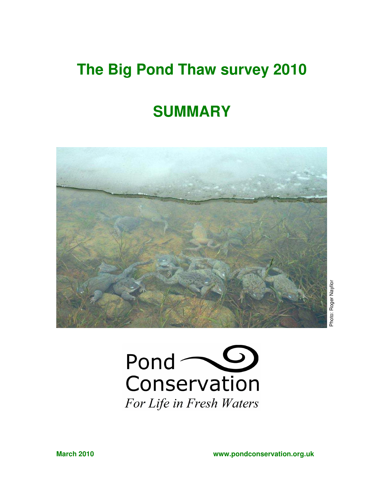# **The Big Pond Thaw survey 2010**

# **SUMMARY**





**March 2010 www.pondconservation.org.uk**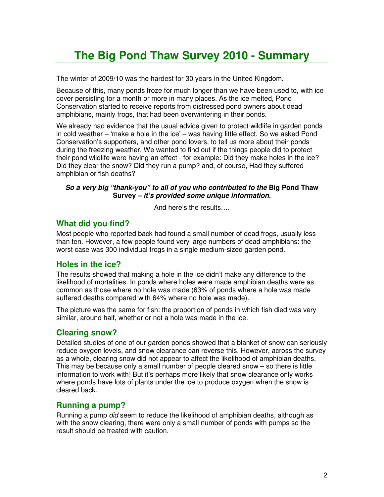# **The Big Pond Thaw Survey 2010 - Summary**

The winter of 2009/10 was the hardest for 30 years in the United Kingdom.

Because of this, many ponds froze for much longer than we have been used to, with ice cover persisting for a month or more in many places. As the ice melted, Pond Conservation started to receive reports from distressed pond owners about dead amphibians, mainly frogs, that had been overwintering in their ponds.

We already had evidence that the usual advice given to protect wildlife in garden ponds in cold weather – 'make a hole in the ice' – was having little effect. So we asked Pond Conservation's supporters, and other pond lovers, to tell us more about their ponds during the freezing weather. We wanted to find out if the things people did to protect their pond wildlife were having an effect - for example: Did they make holes in the ice? Did they clear the snow? Did they run a pump? and, of course, Had they suffered amphibian or fish deaths?

#### **So a very big "thank-you" to all of you who contributed to the Big Pond Thaw Survey – it's provided some unique information.**

And here's the results….

#### **What did you find?**

Most people who reported back had found a small number of dead frogs, usually less than ten. However, a few people found very large numbers of dead amphibians: the worst case was 300 individual frogs in a single medium-sized garden pond.

#### **Holes in the ice?**

The results showed that making a hole in the ice didn't make any difference to the likelihood of mortalities. In ponds where holes were made amphibian deaths were as common as those where no hole was made (63% of ponds where a hole was made suffered deaths compared with 64% where no hole was made).

The picture was the same for fish: the proportion of ponds in which fish died was very similar, around half, whether or not a hole was made in the ice.

#### **Clearing snow?**

Detailed studies of one of our garden ponds showed that a blanket of snow can seriously reduce oxygen levels, and snow clearance can reverse this. However, across the survey as a whole, clearing snow did not appear to affect the likelihood of amphibian deaths. This may be because only a small number of people cleared snow – so there is little information to work with! But it's perhaps more likely that snow clearance only works where ponds have lots of plants under the ice to produce oxygen when the snow is cleared back.

#### **Running a pump?**

Running a pump *did* seem to reduce the likelihood of amphibian deaths, although as with the snow clearing, there were only a small number of ponds with pumps so the result should be treated with caution.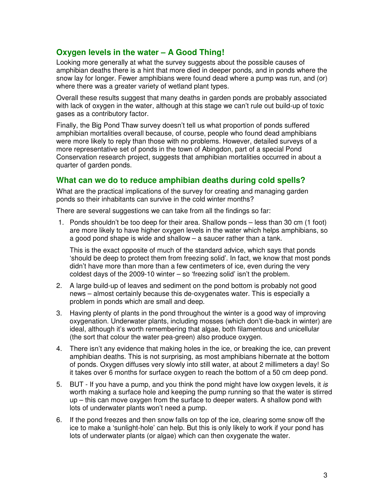### **Oxygen levels in the water – A Good Thing!**

Looking more generally at what the survey suggests about the possible causes of amphibian deaths there is a hint that more died in deeper ponds, and in ponds where the snow lay for longer. Fewer amphibians were found dead where a pump was run, and (or) where there was a greater variety of wetland plant types.

Overall these results suggest that many deaths in garden ponds are probably associated with lack of oxygen in the water, although at this stage we can't rule out build-up of toxic gases as a contributory factor.

Finally, the Big Pond Thaw survey doesn't tell us what proportion of ponds suffered amphibian mortalities overall because, of course, people who found dead amphibians were more likely to reply than those with no problems. However, detailed surveys of a more representative set of ponds in the town of Abingdon, part of a special Pond Conservation research project, suggests that amphibian mortalities occurred in about a quarter of garden ponds.

### **What can we do to reduce amphibian deaths during cold spells?**

What are the practical implications of the survey for creating and managing garden ponds so their inhabitants can survive in the cold winter months?

There are several suggestions we can take from all the findings so far:

 1. Ponds shouldn't be too deep for their area. Shallow ponds – less than 30 cm (1 foot) are more likely to have higher oxygen levels in the water which helps amphibians, so a good pond shape is wide and shallow – a saucer rather than a tank.

 This is the exact opposite of much of the standard advice, which says that ponds 'should be deep to protect them from freezing solid'. In fact, we know that most ponds didn't have more than more than a few centimeters of ice, even during the very coldest days of the 2009-10 winter – so 'freezing solid' isn't the problem.

- 2. A large build-up of leaves and sediment on the pond bottom is probably not good news – almost certainly because this de-oxygenates water. This is especially a problem in ponds which are small and deep.
- 3. Having plenty of plants in the pond throughout the winter is a good way of improving oxygenation. Underwater plants, including mosses (which don't die-back in winter) are ideal, although it's worth remembering that algae, both filamentous and unicellular (the sort that colour the water pea-green) also produce oxygen.
- 4. There isn't any evidence that making holes in the ice, or breaking the ice, can prevent amphibian deaths. This is not surprising, as most amphibians hibernate at the bottom of ponds. Oxygen diffuses very slowly into still water, at about 2 millimeters a day! So it takes over 6 months for surface oxygen to reach the bottom of a 50 cm deep pond.
- 5. BUT If you have a pump, and you think the pond might have low oxygen levels, it is worth making a surface hole and keeping the pump running so that the water is stirred up – this can move oxygen from the surface to deeper waters. A shallow pond with lots of underwater plants won't need a pump.
- 6. If the pond freezes and then snow falls on top of the ice, clearing some snow off the ice to make a 'sunlight-hole' can help. But this is only likely to work if your pond has lots of underwater plants (or algae) which can then oxygenate the water.